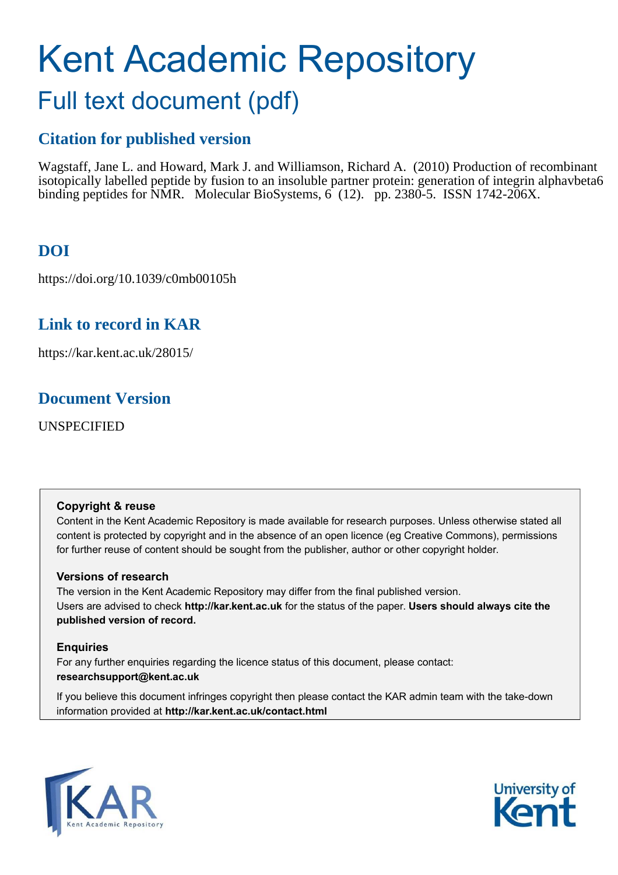# Kent Academic Repository

## Full text document (pdf)

## **Citation for published version**

Wagstaff, Jane L. and Howard, Mark J. and Williamson, Richard A. (2010) Production of recombinant isotopically labelled peptide by fusion to an insoluble partner protein: generation of integrin alphavbeta6 binding peptides for NMR. Molecular BioSystems, 6 (12). pp. 2380-5. ISSN 1742-206X.

## **DOI**

https://doi.org/10.1039/c0mb00105h

## **Link to record in KAR**

https://kar.kent.ac.uk/28015/

## **Document Version**

UNSPECIFIED

#### **Copyright & reuse**

Content in the Kent Academic Repository is made available for research purposes. Unless otherwise stated all content is protected by copyright and in the absence of an open licence (eg Creative Commons), permissions for further reuse of content should be sought from the publisher, author or other copyright holder.

#### **Versions of research**

The version in the Kent Academic Repository may differ from the final published version. Users are advised to check **http://kar.kent.ac.uk** for the status of the paper. **Users should always cite the published version of record.**

#### **Enquiries**

For any further enquiries regarding the licence status of this document, please contact: **researchsupport@kent.ac.uk**

If you believe this document infringes copyright then please contact the KAR admin team with the take-down information provided at **http://kar.kent.ac.uk/contact.html**



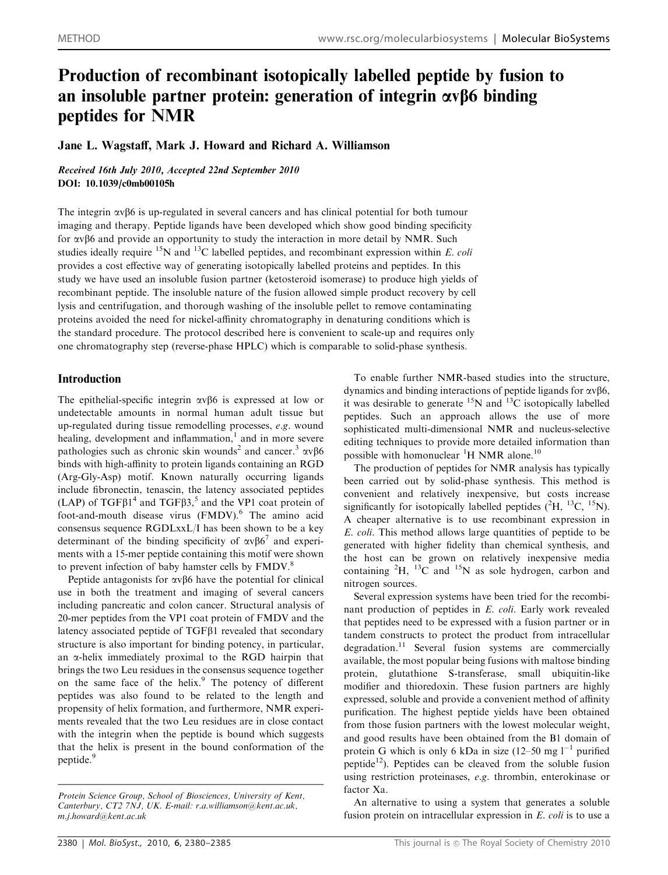### Production of recombinant isotopically labelled peptide by fusion to an insoluble partner protein: generation of integrin  $\alpha$  of binding peptides for NMR

Jane L. Wagstaff, Mark J. Howard and Richard A. Williamson

Received 16th July 2010, Accepted 22nd September 2010 DOI: 10.1039/c0mb00105h

The integrin  $\alpha \beta 6$  is up-regulated in several cancers and has clinical potential for both tumour imaging and therapy. Peptide ligands have been developed which show good binding specificity for  $\alpha$ v $\beta$ 6 and provide an opportunity to study the interaction in more detail by NMR. Such studies ideally require <sup>15</sup>N and <sup>13</sup>C labelled peptides, and recombinant expression within *E. coli* provides a cost effective way of generating isotopically labelled proteins and peptides. In this study we have used an insoluble fusion partner (ketosteroid isomerase) to produce high yields of recombinant peptide. The insoluble nature of the fusion allowed simple product recovery by cell lysis and centrifugation, and thorough washing of the insoluble pellet to remove contaminating proteins avoided the need for nickel-affinity chromatography in denaturing conditions which is the standard procedure. The protocol described here is convenient to scale-up and requires only one chromatography step (reverse-phase HPLC) which is comparable to solid-phase synthesis.

#### Introduction

The epithelial-specific integrin  $\alpha \beta 6$  is expressed at low or undetectable amounts in normal human adult tissue but up-regulated during tissue remodelling processes, *e.g.* wound healing, development and inflammation,<sup>1</sup> and in more severe pathologies such as chronic skin wounds<sup>2</sup> and cancer.<sup>3</sup>  $\alpha \nu \beta 6$ binds with high-affinity to protein ligands containing an RGD (Arg-Gly-Asp) motif. Known naturally occurring ligands include fibronectin, tenascin, the latency associated peptides (LAP) of TGF $\beta$ 1<sup>4</sup> and TGF $\beta$ 3,<sup>5</sup> and the VP1 coat protein of foot-and-mouth disease virus (FMDV).<sup>6</sup> The amino acid consensus sequence RGDLxxL/I has been shown to be a key determinant of the binding specificity of  $\alpha v \beta 6^7$  and experiments with a 15-mer peptide containing this motif were shown to prevent infection of baby hamster cells by FMDV.<sup>8</sup>

Peptide antagonists for  $\alpha \nu \beta 6$  have the potential for clinical use in both the treatment and imaging of several cancers including pancreatic and colon cancer. Structural analysis of 20-mer peptides from the VP1 coat protein of FMDV and the latency associated peptide of  $TGF\beta1$  revealed that secondary structure is also important for binding potency, in particular, an  $\alpha$ -helix immediately proximal to the RGD hairpin that brings the two Leu residues in the consensus sequence together on the same face of the helix.<sup>9</sup> The potency of different peptides was also found to be related to the length and propensity of helix formation, and furthermore, NMR experiments revealed that the two Leu residues are in close contact with the integrin when the peptide is bound which suggests that the helix is present in the bound conformation of the peptide.<sup>9</sup>

To enable further NMR-based studies into the structure, dynamics and binding interactions of peptide ligands for  $\alpha v \beta 6$ . it was desirable to generate  $^{15}$ N and  $^{13}$ C isotopically labelled peptides. Such an approach allows the use of more sophisticated multi-dimensional NMR and nucleus-selective editing techniques to provide more detailed information than possible with homonuclear <sup>1</sup>H NMR alone.<sup>10</sup>

The production of peptides for NMR analysis has typically been carried out by solid-phase synthesis. This method is convenient and relatively inexpensive, but costs increase significantly for isotopically labelled peptides  $(^{2}H, ^{13}C, ^{15}N)$ . A cheaper alternative is to use recombinant expression in *E. coli*. This method allows large quantities of peptide to be generated with higher fidelity than chemical synthesis, and the host can be grown on relatively inexpensive media containing  ${}^{2}H$ ,  ${}^{13}C$  and  ${}^{15}N$  as sole hydrogen, carbon and nitrogen sources.

Several expression systems have been tried for the recombinant production of peptides in *E. coli*. Early work revealed that peptides need to be expressed with a fusion partner or in tandem constructs to protect the product from intracellular degradation.<sup>11</sup> Several fusion systems are commercially available, the most popular being fusions with maltose binding protein, glutathione S-transferase, small ubiquitin-like modifier and thioredoxin. These fusion partners are highly expressed, soluble and provide a convenient method of affinity purification. The highest peptide yields have been obtained from those fusion partners with the lowest molecular weight, and good results have been obtained from the B1 domain of protein G which is only 6 kDa in size (12–50 mg  $l^{-1}$  purified peptide<sup>12</sup>). Peptides can be cleaved from the soluble fusion using restriction proteinases, *e.g*. thrombin, enterokinase or factor Xa.

An alternative to using a system that generates a soluble fusion protein on intracellular expression in *E. coli* is to use a

*Protein Science Group, School of Biosciences, University of Kent, Canterbury, CT2 7NJ, UK. E-mail: r.a.williamson@kent.ac.uk, m.j.howard@kent.ac.uk*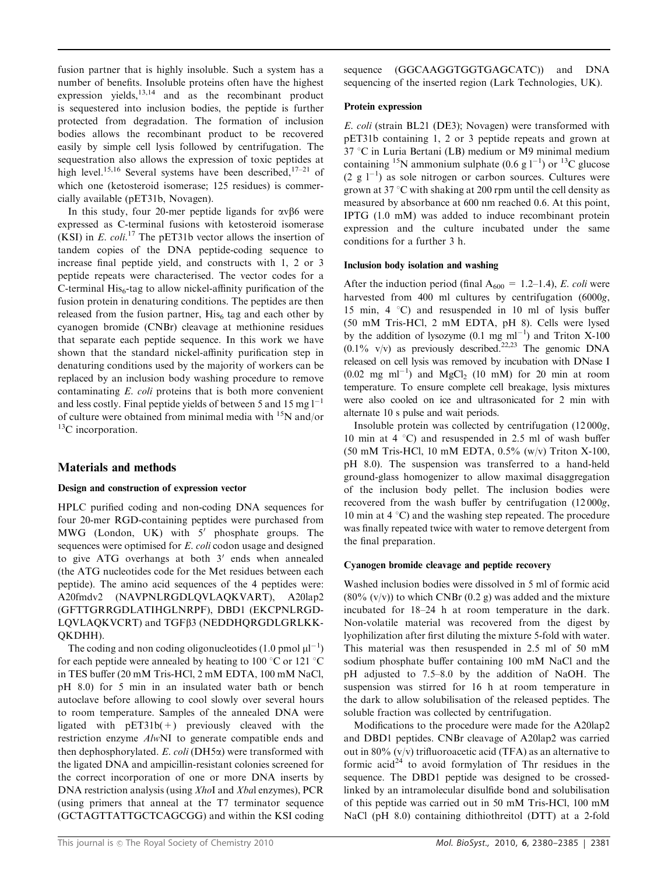fusion partner that is highly insoluble. Such a system has a number of benefits. Insoluble proteins often have the highest expression yields, $^{13,14}$  and as the recombinant product is sequestered into inclusion bodies, the peptide is further protected from degradation. The formation of inclusion bodies allows the recombinant product to be recovered easily by simple cell lysis followed by centrifugation. The sequestration also allows the expression of toxic peptides at high level.<sup>15,16</sup> Several systems have been described.<sup>17–21</sup> of which one (ketosteroid isomerase; 125 residues) is commercially available (pET31b, Novagen).

In this study, four 20-mer peptide ligands for  $\alpha v \beta 6$  were expressed as C-terminal fusions with ketosteroid isomerase (KSI) in  $E.$  coli.<sup>17</sup> The pET31b vector allows the insertion of tandem copies of the DNA peptide-coding sequence to increase final peptide yield, and constructs with 1, 2 or 3 peptide repeats were characterised. The vector codes for a C-terminal His<sub>6</sub>-tag to allow nickel-affinity purification of the fusion protein in denaturing conditions. The peptides are then released from the fusion partner,  $His<sub>6</sub>$  tag and each other by cyanogen bromide (CNBr) cleavage at methionine residues that separate each peptide sequence. In this work we have shown that the standard nickel-affinity purification step in denaturing conditions used by the majority of workers can be replaced by an inclusion body washing procedure to remove contaminating *E. coli* proteins that is both more convenient and less costly. Final peptide yields of between 5 and 15 mg  $1^{-1}$ of culture were obtained from minimal media with  $15N$  and/or  ${}^{13}C$  incorporation.

#### Materials and methods

#### Design and construction of expression vector

HPLC purified coding and non-coding DNA sequences for four 20-mer RGD-containing peptides were purchased from MWG (London, UK) with  $5'$  phosphate groups. The sequences were optimised for *E. coli* codon usage and designed to give ATG overhangs at both  $3'$  ends when annealed (the ATG nucleotides code for the Met residues between each peptide). The amino acid sequences of the 4 peptides were: A20fmdv2 (NAVPNLRGDLQVLAQKVART), A20lap2 (GFTTGRRGDLATIHGLNRPF), DBD1 (EKCPNLRGD-LQVLAQKVCRT) and TGFß3 (NEDDHQRGDLGRLKK-QKDHH).

The coding and non coding oligonucleotides  $(1.0 \text{ pmol }\mu l^{-1})$ for each peptide were annealed by heating to 100  $\degree$ C or 121  $\degree$ C in TES buffer (20 mM Tris-HCl, 2 mM EDTA, 100 mM NaCl, pH 8.0) for 5 min in an insulated water bath or bench autoclave before allowing to cool slowly over several hours to room temperature. Samples of the annealed DNA were ligated with  $pET31b(+)$  previously cleaved with the restriction enzyme *Alw*NI to generate compatible ends and then dephosphorylated. *E. coli* (DH5a) were transformed with the ligated DNA and ampicillin-resistant colonies screened for the correct incorporation of one or more DNA inserts by DNA restriction analysis (using *Xho*I and *Xba*l enzymes), PCR (using primers that anneal at the T7 terminator sequence (GCTAGTTATTGCTCAGCGG) and within the KSI coding

sequence (GGCAAGGTGGTGAGCATC)) and DNA sequencing of the inserted region (Lark Technologies, UK).

#### Protein expression

*E. coli* (strain BL21 (DE3); Novagen) were transformed with pET31b containing 1, 2 or 3 peptide repeats and grown at  $37$  °C in Luria Bertani (LB) medium or M9 minimal medium containing <sup>15</sup>N ammonium sulphate (0.6 g  $1^{-1}$ ) or <sup>13</sup>C glucose  $(2 g 1^{-1})$  as sole nitrogen or carbon sources. Cultures were grown at 37  $\degree$ C with shaking at 200 rpm until the cell density as measured by absorbance at 600 nm reached 0.6. At this point, IPTG (1.0 mM) was added to induce recombinant protein expression and the culture incubated under the same conditions for a further 3 h.

#### Inclusion body isolation and washing

After the induction period (final  $A_{600} = 1.2{\text -}1.4$ ), *E. coli* were harvested from 400 ml cultures by centrifugation (6000*g*, 15 min, 4  $\degree$ C) and resuspended in 10 ml of lysis buffer (50 mM Tris-HCl, 2 mM EDTA, pH 8). Cells were lysed by the addition of lysozyme  $(0.1 \text{ mg ml}^{-1})$  and Triton X-100  $(0.1\% \text{ v/v})$  as previously described.<sup>22,23</sup> The genomic DNA released on cell lysis was removed by incubation with DNase I  $(0.02 \text{ mg } \text{ml}^{-1})$  and  $\text{MgCl}_2$  (10 mM) for 20 min at room temperature. To ensure complete cell breakage, lysis mixtures were also cooled on ice and ultrasonicated for 2 min with alternate 10 s pulse and wait periods.

Insoluble protein was collected by centrifugation (12 000*g*, 10 min at 4  $\degree$ C) and resuspended in 2.5 ml of wash buffer (50 mM Tris-HCl, 10 mM EDTA, 0.5% (w/v) Triton X-100, pH 8.0). The suspension was transferred to a hand-held ground-glass homogenizer to allow maximal disaggregation of the inclusion body pellet. The inclusion bodies were recovered from the wash buffer by centrifugation (12 000*g*, 10 min at  $4^{\circ}$ C) and the washing step repeated. The procedure was finally repeated twice with water to remove detergent from the final preparation.

#### Cyanogen bromide cleavage and peptide recovery

Washed inclusion bodies were dissolved in 5 ml of formic acid  $(80\% (v/v))$  to which CNBr  $(0.2 g)$  was added and the mixture incubated for 18–24 h at room temperature in the dark. Non-volatile material was recovered from the digest by lyophilization after first diluting the mixture 5-fold with water. This material was then resuspended in 2.5 ml of 50 mM sodium phosphate buffer containing 100 mM NaCl and the pH adjusted to 7.5–8.0 by the addition of NaOH. The suspension was stirred for 16 h at room temperature in the dark to allow solubilisation of the released peptides. The soluble fraction was collected by centrifugation.

Modifications to the procedure were made for the A20lap2 and DBD1 peptides. CNBr cleavage of A20lap2 was carried out in 80%  $(v/v)$  trifluoroacetic acid (TFA) as an alternative to formic acid<sup>24</sup> to avoid formylation of Thr residues in the sequence. The DBD1 peptide was designed to be crossedlinked by an intramolecular disulfide bond and solubilisation of this peptide was carried out in 50 mM Tris-HCl, 100 mM NaCl (pH 8.0) containing dithiothreitol (DTT) at a 2-fold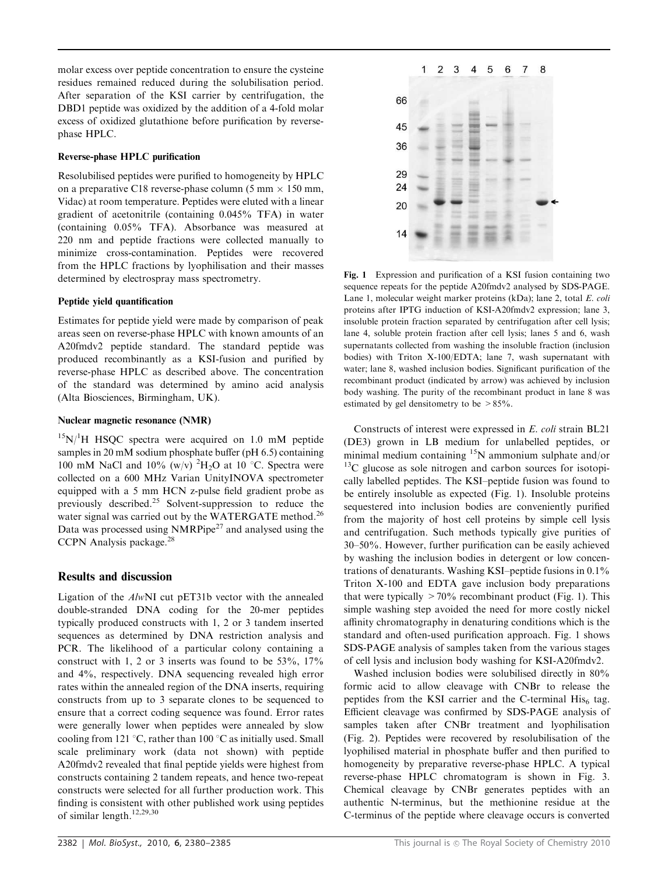molar excess over peptide concentration to ensure the cysteine residues remained reduced during the solubilisation period. After separation of the KSI carrier by centrifugation, the DBD1 peptide was oxidized by the addition of a 4-fold molar excess of oxidized glutathione before purification by reversephase HPLC.

#### Reverse-phase HPLC purification

Resolubilised peptides were purified to homogeneity by HPLC on a preparative C18 reverse-phase column (5 mm  $\times$  150 mm, Vidac) at room temperature. Peptides were eluted with a linear gradient of acetonitrile (containing 0.045% TFA) in water (containing 0.05% TFA). Absorbance was measured at 220 nm and peptide fractions were collected manually to minimize cross-contamination. Peptides were recovered from the HPLC fractions by lyophilisation and their masses determined by electrospray mass spectrometry.

#### Peptide yield quantification

Estimates for peptide yield were made by comparison of peak areas seen on reverse-phase HPLC with known amounts of an A20fmdv2 peptide standard. The standard peptide was produced recombinantly as a KSI-fusion and purified by reverse-phase HPLC as described above. The concentration of the standard was determined by amino acid analysis (Alta Biosciences, Birmingham, UK).

#### Nuclear magnetic resonance (NMR)

 $15N/H$  HSQC spectra were acquired on 1.0 mM peptide samples in 20 mM sodium phosphate buffer (pH 6.5) containing 100 mM NaCl and 10% (w/v)  ${}^{2}H_{2}O$  at 10 °C. Spectra were collected on a 600 MHz Varian UnityINOVA spectrometer equipped with a 5 mm HCN z-pulse field gradient probe as previously described.<sup>25</sup> Solvent-suppression to reduce the water signal was carried out by the WATERGATE method.<sup>26</sup> Data was processed using  $NMRPipe^{27}$  and analysed using the CCPN Analysis package.<sup>28</sup>

#### Results and discussion

Ligation of the *Alw*NI cut pET31b vector with the annealed double-stranded DNA coding for the 20-mer peptides typically produced constructs with 1, 2 or 3 tandem inserted sequences as determined by DNA restriction analysis and PCR. The likelihood of a particular colony containing a construct with 1, 2 or 3 inserts was found to be  $53\%$ ,  $17\%$ and 4%, respectively. DNA sequencing revealed high error rates within the annealed region of the DNA inserts, requiring constructs from up to 3 separate clones to be sequenced to ensure that a correct coding sequence was found. Error rates were generally lower when peptides were annealed by slow cooling from 121 °C, rather than 100 °C as initially used. Small scale preliminary work (data not shown) with peptide A20fmdv2 revealed that final peptide yields were highest from constructs containing 2 tandem repeats, and hence two-repeat constructs were selected for all further production work. This finding is consistent with other published work using peptides of similar length.12,29,30



Fig. 1 Expression and purification of a KSI fusion containing two sequence repeats for the peptide A20fmdv2 analysed by SDS-PAGE. Lane 1, molecular weight marker proteins (kDa); lane 2, total *E. coli* proteins after IPTG induction of KSI-A20fmdv2 expression; lane 3, insoluble protein fraction separated by centrifugation after cell lysis; lane 4, soluble protein fraction after cell lysis; lanes 5 and 6, wash supernatants collected from washing the insoluble fraction (inclusion bodies) with Triton X-100/EDTA; lane 7, wash supernatant with water; lane 8, washed inclusion bodies. Significant purification of the recombinant product (indicated by arrow) was achieved by inclusion body washing. The purity of the recombinant product in lane 8 was estimated by gel densitometry to be >85%.

Constructs of interest were expressed in *E. coli* strain BL21 (DE3) grown in LB medium for unlabelled peptides, or minimal medium containing <sup>15</sup>N ammonium sulphate and/or  $13<sup>13</sup>C$  glucose as sole nitrogen and carbon sources for isotopically labelled peptides. The KSI–peptide fusion was found to be entirely insoluble as expected (Fig. 1). Insoluble proteins sequestered into inclusion bodies are conveniently purified from the majority of host cell proteins by simple cell lysis and centrifugation. Such methods typically give purities of 30–50%. However, further purification can be easily achieved by washing the inclusion bodies in detergent or low concentrations of denaturants. Washing KSI–peptide fusions in 0.1% Triton X-100 and EDTA gave inclusion body preparations that were typically  $>70\%$  recombinant product (Fig. 1). This simple washing step avoided the need for more costly nickel affinity chromatography in denaturing conditions which is the standard and often-used purification approach. Fig. 1 shows SDS-PAGE analysis of samples taken from the various stages of cell lysis and inclusion body washing for KSI-A20fmdv2.

Washed inclusion bodies were solubilised directly in 80% formic acid to allow cleavage with CNBr to release the peptides from the KSI carrier and the C-terminal  $His<sub>6</sub>$  tag. Efficient cleavage was confirmed by SDS-PAGE analysis of samples taken after CNBr treatment and lyophilisation (Fig. 2). Peptides were recovered by resolubilisation of the lyophilised material in phosphate buffer and then purified to homogeneity by preparative reverse-phase HPLC. A typical reverse-phase HPLC chromatogram is shown in Fig. 3. Chemical cleavage by CNBr generates peptides with an authentic N-terminus, but the methionine residue at the C-terminus of the peptide where cleavage occurs is converted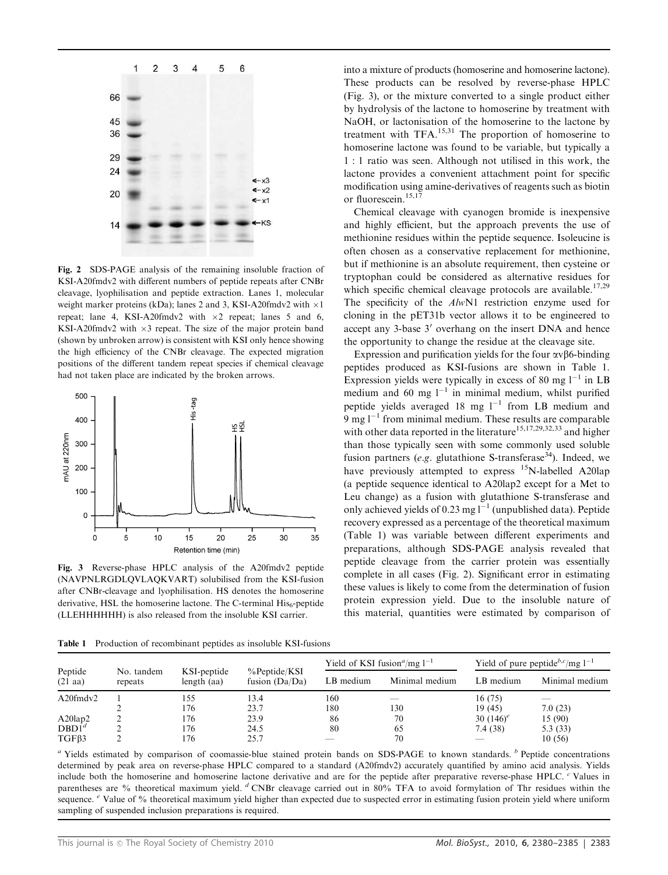

Fig. 2 SDS-PAGE analysis of the remaining insoluble fraction of KSI-A20fmdv2 with different numbers of peptide repeats after CNBr cleavage, lyophilisation and peptide extraction. Lanes 1, molecular weight marker proteins (kDa); lanes 2 and 3, KSI-A20fmdv2 with  $\times 1$ repeat; lane 4, KSI-A20fmdv2 with  $\times 2$  repeat; lanes 5 and 6, KSI-A20fmdv2 with  $\times 3$  repeat. The size of the major protein band (shown by unbroken arrow) is consistent with KSI only hence showing the high efficiency of the CNBr cleavage. The expected migration positions of the different tandem repeat species if chemical cleavage had not taken place are indicated by the broken arrows.



Fig. 3 Reverse-phase HPLC analysis of the A20fmdv2 peptide (NAVPNLRGDLQVLAQKVART) solubilised from the KSI-fusion after CNBr-cleavage and lyophilisation. HS denotes the homoserine derivative, HSL the homoserine lactone. The C-terminal  $His<sub>6</sub>$ -peptide (LLEHHHHHH) is also released from the insoluble KSI carrier.

Table 1 Production of recombinant peptides as insoluble KSI-fusions

into a mixture of products (homoserine and homoserine lactone). These products can be resolved by reverse-phase HPLC (Fig. 3), or the mixture converted to a single product either by hydrolysis of the lactone to homoserine by treatment with NaOH, or lactonisation of the homoserine to the lactone by treatment with  $TFA$ <sup>15,31</sup> The proportion of homoserine to homoserine lactone was found to be variable, but typically a 1 : 1 ratio was seen. Although not utilised in this work, the lactone provides a convenient attachment point for specific modification using amine-derivatives of reagents such as biotin or fluorescein.<sup>15,17</sup>

Chemical cleavage with cyanogen bromide is inexpensive and highly efficient, but the approach prevents the use of methionine residues within the peptide sequence. Isoleucine is often chosen as a conservative replacement for methionine, but if methionine is an absolute requirement, then cysteine or tryptophan could be considered as alternative residues for which specific chemical cleavage protocols are available.<sup>17,29</sup> The specificity of the *Alw*N1 restriction enzyme used for cloning in the pET31b vector allows it to be engineered to accept any 3-base 3' overhang on the insert DNA and hence the opportunity to change the residue at the cleavage site.

Expression and purification yields for the four  $\alpha \beta$ 6-binding peptides produced as KSI-fusions are shown in Table 1. Expression yields were typically in excess of 80 mg  $1^{-1}$  in LB medium and 60 mg  $1^{-1}$  in minimal medium, whilst purified peptide yields averaged  $18 \text{ mg } l^{-1}$  from LB medium and  $9 \text{ mg } 1^{-1}$  from minimal medium. These results are comparable with other data reported in the literature<sup>15,17,29,32,33</sup> and higher than those typically seen with some commonly used soluble fusion partners ( $e.g.$  glutathione S-transferase<sup>34</sup>). Indeed, we have previously attempted to express <sup>15</sup>N-labelled A20lap (a peptide sequence identical to A20lap2 except for a Met to Leu change) as a fusion with glutathione S-transferase and only achieved yields of 0.23 mg  $l^{-1}$  (unpublished data). Peptide recovery expressed as a percentage of the theoretical maximum (Table 1) was variable between different experiments and preparations, although SDS-PAGE analysis revealed that peptide cleavage from the carrier protein was essentially complete in all cases (Fig. 2). Significant error in estimating these values is likely to come from the determination of fusion protein expression yield. Due to the insoluble nature of this material, quantities were estimated by comparison of

| Peptide<br>$(21 \text{ aa})$    | No. tandem<br>repeats | KSI-peptide<br>length $(aa)$ | $\%$ Peptide/KSI<br>fusion $(Da/Da)$ | Yield of KSI fusion <sup><i>a</i></sup> /mg $1^{-1}$ |                | Yield of pure peptide <sup>b,c</sup> /mg $1^{-1}$ |                |
|---------------------------------|-----------------------|------------------------------|--------------------------------------|------------------------------------------------------|----------------|---------------------------------------------------|----------------|
|                                 |                       |                              |                                      | LB medium                                            | Minimal medium | LB medium                                         | Minimal medium |
| A20fmdv2                        |                       | l 55                         | 13.4                                 | 160                                                  |                | 16(75)                                            |                |
|                                 |                       | 176                          | 23.7                                 | 180                                                  | 130            | 19(45)                                            | 7.0(23)        |
|                                 |                       | 176                          | 23.9                                 | 86                                                   | 70             | 30 $(146)^e$                                      | 15(90)         |
| $A20$ lap2<br>DBD1 <sup>d</sup> |                       | 176                          | 24.5                                 | 80                                                   | 65             | 7.4(38)                                           | 5.3(33)        |
| TGFB3                           |                       | 176                          | 25.7                                 |                                                      | 70             |                                                   | 10(56)         |

*<sup>a</sup>* Yields estimated by comparison of coomassie-blue stained protein bands on SDS-PAGE to known standards. *<sup>b</sup>* Peptide concentrations determined by peak area on reverse-phase HPLC compared to a standard (A20fmdv2) accurately quantified by amino acid analysis. Yields include both the homoserine and homoserine lactone derivative and are for the peptide after preparative reverse-phase HPLC. *<sup>c</sup>* Values in parentheses are % theoretical maximum yield. *<sup>d</sup>* CNBr cleavage carried out in 80% TFA to avoid formylation of Thr residues within the sequence. <sup>*e*</sup> Value of % theoretical maximum yield higher than expected due to suspected error in estimating fusion protein yield where uniform sampling of suspended inclusion preparations is required.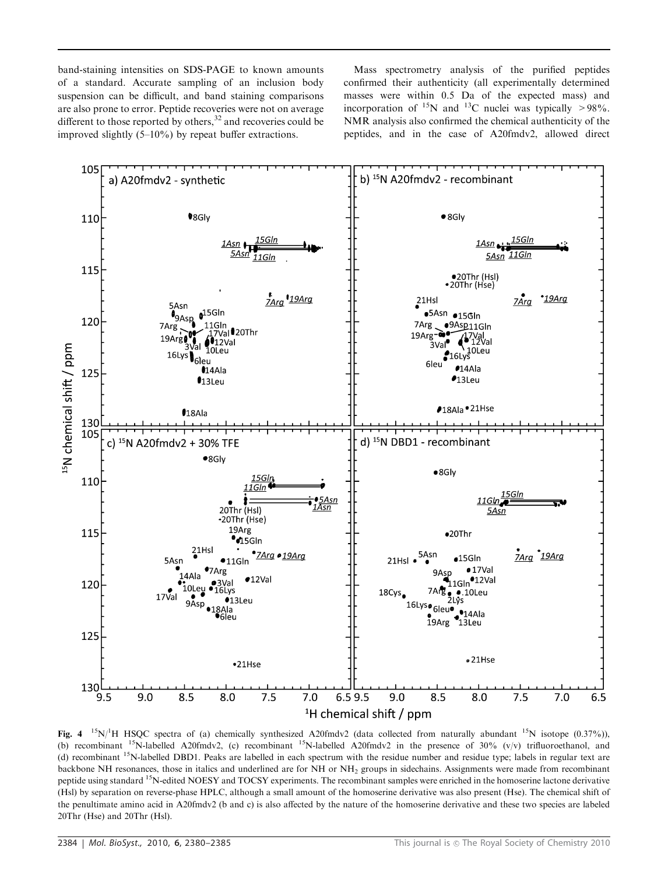band-staining intensities on SDS-PAGE to known amounts of a standard. Accurate sampling of an inclusion body suspension can be difficult, and band staining comparisons are also prone to error. Peptide recoveries were not on average different to those reported by others, $32$  and recoveries could be improved slightly (5–10%) by repeat buffer extractions.

Mass spectrometry analysis of the purified peptides confirmed their authenticity (all experimentally determined masses were within 0.5 Da of the expected mass) and incorporation of <sup>15</sup>N and <sup>13</sup>C nuclei was typically >98%. NMR analysis also confirmed the chemical authenticity of the peptides, and in the case of A20fmdv2, allowed direct



Fig. 4  $15N$ <sup>1</sup>H HSQC spectra of (a) chemically synthesized A20fmdv2 (data collected from naturally abundant  $15N$  isotope (0.37%)), (b) recombinant <sup>15</sup>N-labelled A20fmdv2, (c) recombinant <sup>15</sup>N-labelled A20fmdv2 in the presence of 30% (v/v) trifluoroethanol, and (d) recombinant <sup>15</sup>N-labelled DBD1. Peaks are labelled in each spectrum with the residue number and residue type; labels in regular text are backbone NH resonances, those in italics and underlined are for NH or NH<sub>2</sub> groups in sidechains. Assignments were made from recombinant peptide using standard <sup>15</sup>N-edited NOESY and TOCSY experiments. The recombinant samples were enriched in the homoserine lactone derivative (Hsl) by separation on reverse-phase HPLC, although a small amount of the homoserine derivative was also present (Hse). The chemical shift of the penultimate amino acid in A20fmdv2 (b and c) is also affected by the nature of the homoserine derivative and these two species are labeled 20Thr (Hse) and 20Thr (Hsl).